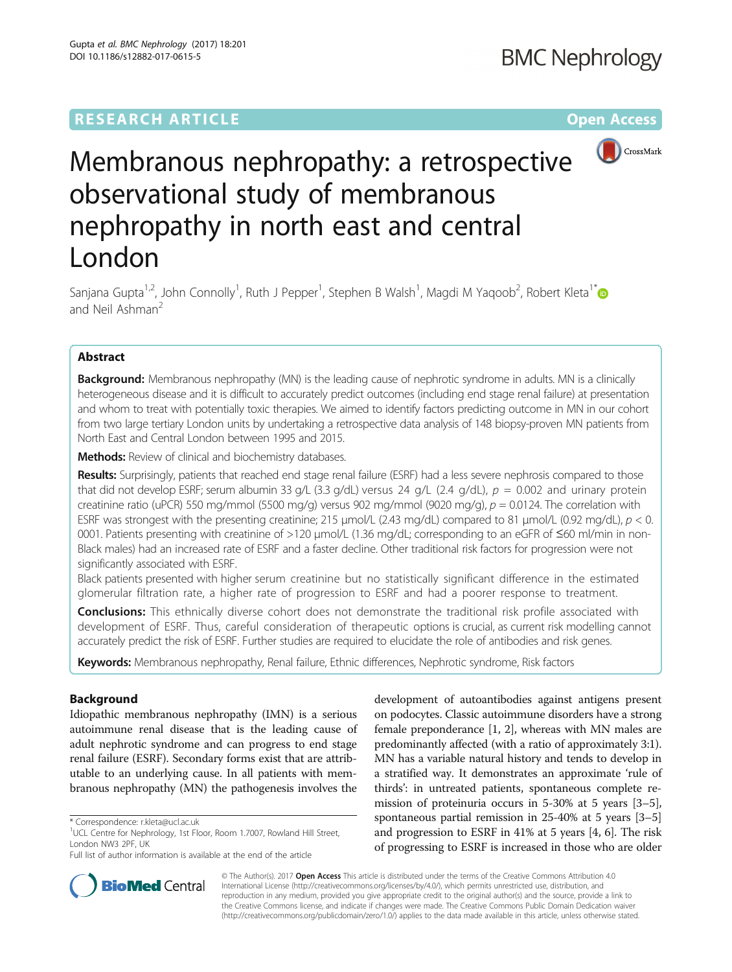

# Membranous nephropathy: a retrospective observational study of membranous nephropathy in north east and central London

Sanjana Gupta<sup>1,2</sup>, John Connolly<sup>1</sup>, Ruth J Pepper<sup>1</sup>, Stephen B Walsh<sup>1</sup>, Magdi M Yaqoob<sup>2</sup>, Robert Kleta<sup>1[\\*](http://orcid.org/0000-0002-0228-8656)</sup> and Neil Ashman<sup>2</sup>

### Abstract

Background: Membranous nephropathy (MN) is the leading cause of nephrotic syndrome in adults. MN is a clinically heterogeneous disease and it is difficult to accurately predict outcomes (including end stage renal failure) at presentation and whom to treat with potentially toxic therapies. We aimed to identify factors predicting outcome in MN in our cohort from two large tertiary London units by undertaking a retrospective data analysis of 148 biopsy-proven MN patients from North East and Central London between 1995 and 2015.

Methods: Review of clinical and biochemistry databases.

Results: Surprisingly, patients that reached end stage renal failure (ESRF) had a less severe nephrosis compared to those that did not develop ESRF; serum albumin 33 g/L (3.3 g/dL) versus 24 g/L (2.4 g/dL),  $p = 0.002$  and urinary protein creatinine ratio (uPCR) 550 mg/mmol (5500 mg/g) versus 902 mg/mmol (9020 mg/g),  $p = 0.0124$ . The correlation with ESRF was strongest with the presenting creatinine; 215  $\mu$ mol/L (2.43 mg/dL) compared to 81  $\mu$ mol/L (0.92 mg/dL),  $p < 0$ . 0001. Patients presenting with creatinine of >120 μmol/L (1.36 mg/dL; corresponding to an eGFR of ≤60 ml/min in non-Black males) had an increased rate of ESRF and a faster decline. Other traditional risk factors for progression were not significantly associated with ESRF.

Black patients presented with higher serum creatinine but no statistically significant difference in the estimated glomerular filtration rate, a higher rate of progression to ESRF and had a poorer response to treatment.

**Conclusions:** This ethnically diverse cohort does not demonstrate the traditional risk profile associated with development of ESRF. Thus, careful consideration of therapeutic options is crucial, as current risk modelling cannot accurately predict the risk of ESRF. Further studies are required to elucidate the role of antibodies and risk genes.

Keywords: Membranous nephropathy, Renal failure, Ethnic differences, Nephrotic syndrome, Risk factors

#### Background

Idiopathic membranous nephropathy (IMN) is a serious autoimmune renal disease that is the leading cause of adult nephrotic syndrome and can progress to end stage renal failure (ESRF). Secondary forms exist that are attributable to an underlying cause. In all patients with membranous nephropathy (MN) the pathogenesis involves the

development of autoantibodies against antigens present on podocytes. Classic autoimmune disorders have a strong female preponderance [\[1](#page-5-0), [2](#page-5-0)], whereas with MN males are predominantly affected (with a ratio of approximately 3:1). MN has a variable natural history and tends to develop in a stratified way. It demonstrates an approximate 'rule of thirds': in untreated patients, spontaneous complete remission of proteinuria occurs in 5-30% at 5 years [[3](#page-5-0)–[5](#page-5-0)], spontaneous partial remission in 25-40% at 5 years [[3](#page-5-0)–[5](#page-5-0)] and progression to ESRF in 41% at 5 years [\[4](#page-5-0), [6\]](#page-5-0). The risk of progressing to ESRF is increased in those who are older



© The Author(s). 2017 **Open Access** This article is distributed under the terms of the Creative Commons Attribution 4.0 International License [\(http://creativecommons.org/licenses/by/4.0/](http://creativecommons.org/licenses/by/4.0/)), which permits unrestricted use, distribution, and reproduction in any medium, provided you give appropriate credit to the original author(s) and the source, provide a link to the Creative Commons license, and indicate if changes were made. The Creative Commons Public Domain Dedication waiver [\(http://creativecommons.org/publicdomain/zero/1.0/](http://creativecommons.org/publicdomain/zero/1.0/)) applies to the data made available in this article, unless otherwise stated.

<sup>\*</sup> Correspondence: [r.kleta@ucl.ac.uk](mailto:r.kleta@ucl.ac.uk) <sup>1</sup>

<sup>&</sup>lt;sup>1</sup>UCL Centre for Nephrology, 1st Floor, Room 1.7007, Rowland Hill Street, London NW3 2PF, UK

Full list of author information is available at the end of the article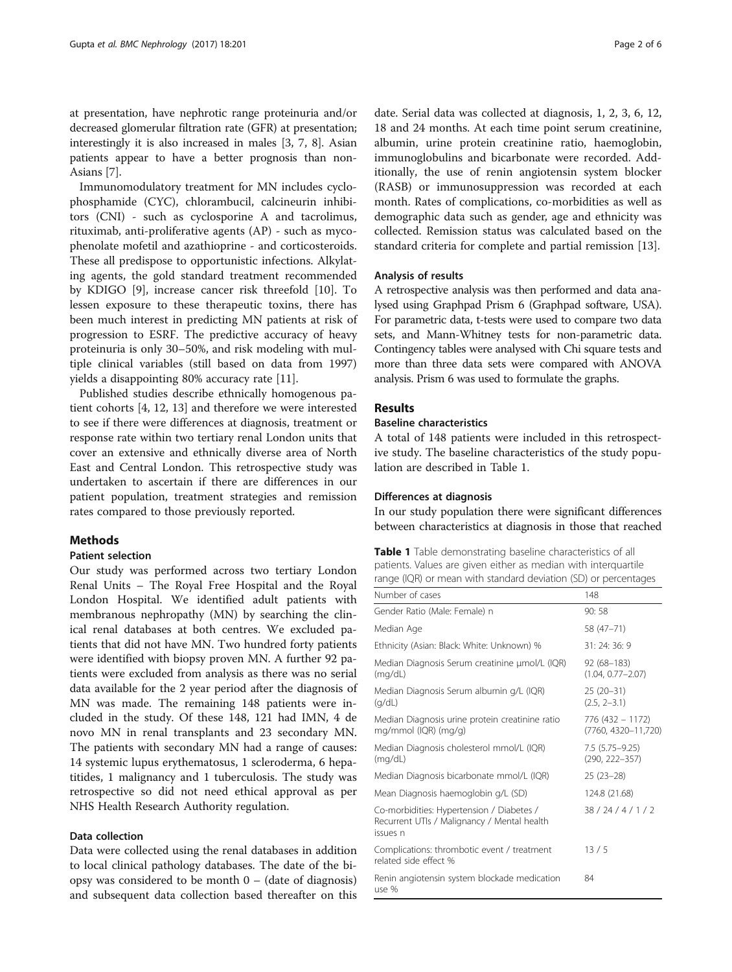at presentation, have nephrotic range proteinuria and/or decreased glomerular filtration rate (GFR) at presentation; interestingly it is also increased in males [\[3, 7, 8\]](#page-5-0). Asian patients appear to have a better prognosis than non-Asians [[7\]](#page-5-0).

Immunomodulatory treatment for MN includes cyclophosphamide (CYC), chlorambucil, calcineurin inhibitors (CNI) - such as cyclosporine A and tacrolimus, rituximab, anti-proliferative agents (AP) - such as mycophenolate mofetil and azathioprine - and corticosteroids. These all predispose to opportunistic infections. Alkylating agents, the gold standard treatment recommended by KDIGO [[9\]](#page-5-0), increase cancer risk threefold [\[10\]](#page-5-0). To lessen exposure to these therapeutic toxins, there has been much interest in predicting MN patients at risk of progression to ESRF. The predictive accuracy of heavy proteinuria is only 30–50%, and risk modeling with multiple clinical variables (still based on data from 1997) yields a disappointing 80% accuracy rate [[11\]](#page-5-0).

Published studies describe ethnically homogenous patient cohorts [\[4](#page-5-0), [12, 13\]](#page-5-0) and therefore we were interested to see if there were differences at diagnosis, treatment or response rate within two tertiary renal London units that cover an extensive and ethnically diverse area of North East and Central London. This retrospective study was undertaken to ascertain if there are differences in our patient population, treatment strategies and remission rates compared to those previously reported.

#### Methods

#### Patient selection

Our study was performed across two tertiary London Renal Units – The Royal Free Hospital and the Royal London Hospital. We identified adult patients with membranous nephropathy (MN) by searching the clinical renal databases at both centres. We excluded patients that did not have MN. Two hundred forty patients were identified with biopsy proven MN. A further 92 patients were excluded from analysis as there was no serial data available for the 2 year period after the diagnosis of MN was made. The remaining 148 patients were included in the study. Of these 148, 121 had IMN, 4 de novo MN in renal transplants and 23 secondary MN. The patients with secondary MN had a range of causes: 14 systemic lupus erythematosus, 1 scleroderma, 6 hepatitides, 1 malignancy and 1 tuberculosis. The study was retrospective so did not need ethical approval as per NHS Health Research Authority regulation.

#### Data collection

Data were collected using the renal databases in addition to local clinical pathology databases. The date of the biopsy was considered to be month  $0 -$  (date of diagnosis) and subsequent data collection based thereafter on this

date. Serial data was collected at diagnosis, 1, 2, 3, 6, 12, 18 and 24 months. At each time point serum creatinine, albumin, urine protein creatinine ratio, haemoglobin, immunoglobulins and bicarbonate were recorded. Additionally, the use of renin angiotensin system blocker (RASB) or immunosuppression was recorded at each month. Rates of complications, co-morbidities as well as demographic data such as gender, age and ethnicity was collected. Remission status was calculated based on the standard criteria for complete and partial remission [\[13\]](#page-5-0).

#### Analysis of results

A retrospective analysis was then performed and data analysed using Graphpad Prism 6 (Graphpad software, USA). For parametric data, t-tests were used to compare two data sets, and Mann-Whitney tests for non-parametric data. Contingency tables were analysed with Chi square tests and more than three data sets were compared with ANOVA analysis. Prism 6 was used to formulate the graphs.

#### Results

#### Baseline characteristics

A total of 148 patients were included in this retrospective study. The baseline characteristics of the study population are described in Table 1.

#### Differences at diagnosis

In our study population there were significant differences between characteristics at diagnosis in those that reached

| Table 1 Table demonstrating baseline characteristics of all     |
|-----------------------------------------------------------------|
| patients. Values are given either as median with interguartile  |
| range (IQR) or mean with standard deviation (SD) or percentages |

| Number of cases                                                                                      | 148                                     |
|------------------------------------------------------------------------------------------------------|-----------------------------------------|
| Gender Ratio (Male: Female) n                                                                        | 90:58                                   |
| Median Age                                                                                           | 58 (47-71)                              |
| Ethnicity (Asian: Black: White: Unknown) %                                                           | 31:24:36:9                              |
| Median Diagnosis Serum creatinine µmol/L (IQR)<br>(mg/dL)                                            | 92 (68–183)<br>$(1.04, 0.77 - 2.07)$    |
| Median Diagnosis Serum albumin g/L (IQR)<br>(q/dL)                                                   | $25(20-31)$<br>$(2.5, 2-3.1)$           |
| Median Diagnosis urine protein creatinine ratio<br>mg/mmol (IQR) (mg/g)                              | 776 (432 - 1172)<br>(7760, 4320-11,720) |
| Median Diagnosis cholesterol mmol/L (IQR)<br>(mq/dL)                                                 | 7.5 (5.75 - 9.25)<br>$(290, 222 - 357)$ |
| Median Diagnosis bicarbonate mmol/L (IQR)                                                            | $25(23-28)$                             |
| Mean Diagnosis haemoglobin g/L (SD)                                                                  | 124.8 (21.68)                           |
| Co-morbidities: Hypertension / Diabetes /<br>Recurrent UTIs / Malignancy / Mental health<br>issues n | 38/24/4/1/2                             |
| Complications: thrombotic event / treatment<br>related side effect %                                 | 13/5                                    |
| Renin angiotensin system blockade medication<br>use %                                                | 84                                      |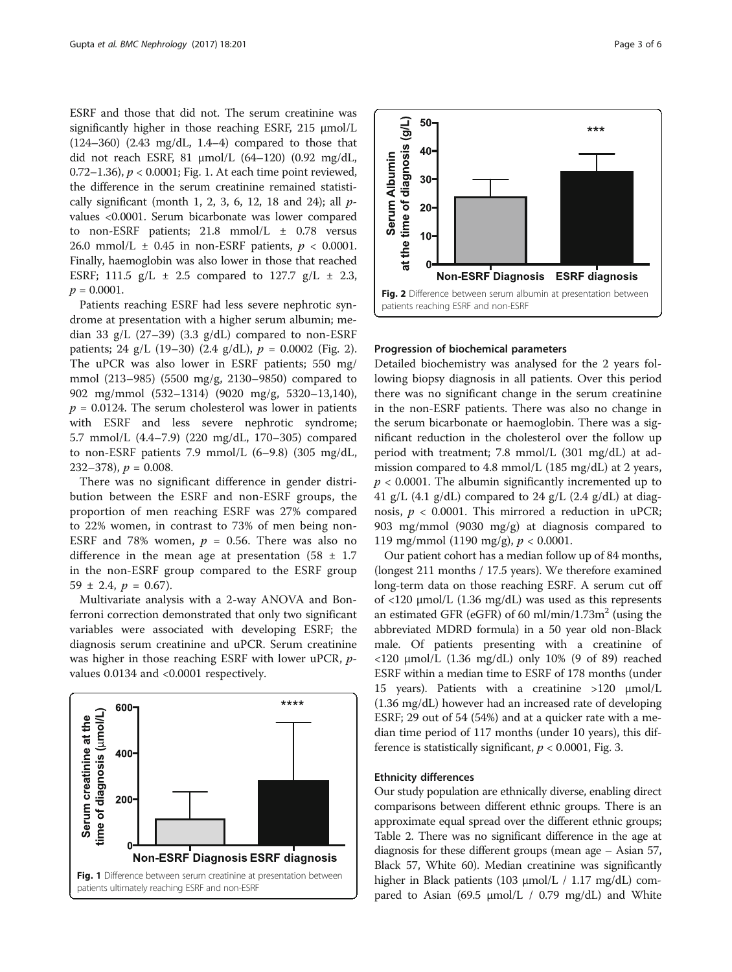ESRF and those that did not. The serum creatinine was significantly higher in those reaching ESRF, 215 μmol/L (124–360) (2.43 mg/dL, 1.4–4) compared to those that did not reach ESRF, 81 μmol/L (64–120) (0.92 mg/dL, 0.72–1.36),  $p < 0.0001$ ; Fig. 1. At each time point reviewed, the difference in the serum creatinine remained statistically significant (month 1, 2, 3, 6, 12, 18 and 24); all  $p$ values <0.0001. Serum bicarbonate was lower compared to non-ESRF patients; 21.8 mmol/L ± 0.78 versus 26.0 mmol/L  $\pm$  0.45 in non-ESRF patients,  $p < 0.0001$ . Finally, haemoglobin was also lower in those that reached ESRF; 111.5  $g/L \pm 2.5$  compared to 127.7  $g/L \pm 2.3$ ,  $p = 0.0001$ .

Patients reaching ESRF had less severe nephrotic syndrome at presentation with a higher serum albumin; median 33 g/L (27–39) (3.3 g/dL) compared to non-ESRF patients; 24 g/L (19–30) (2.4 g/dL),  $p = 0.0002$  (Fig. 2). The uPCR was also lower in ESRF patients; 550 mg/ mmol (213–985) (5500 mg/g, 2130–9850) compared to 902 mg/mmol (532–1314) (9020 mg/g, 5320–13,140),  $p = 0.0124$ . The serum cholesterol was lower in patients with ESRF and less severe nephrotic syndrome; 5.7 mmol/L (4.4–7.9) (220 mg/dL, 170–305) compared to non-ESRF patients 7.9 mmol/L (6–9.8) (305 mg/dL, 232–378),  $p = 0.008$ .

There was no significant difference in gender distribution between the ESRF and non-ESRF groups, the proportion of men reaching ESRF was 27% compared to 22% women, in contrast to 73% of men being non-ESRF and 78% women,  $p = 0.56$ . There was also no difference in the mean age at presentation  $(58 \pm 1.7)$ in the non-ESRF group compared to the ESRF group  $59 \pm 2.4$ ,  $p = 0.67$ ).

Multivariate analysis with a 2-way ANOVA and Bonferroni correction demonstrated that only two significant variables were associated with developing ESRF; the diagnosis serum creatinine and uPCR. Serum creatinine was higher in those reaching ESRF with lower uPCR, pvalues 0.0134 and <0.0001 respectively.





at the time of diagnosis  $\Omega$ **Non-ESRF Diagnosis ESRF** diagnosis Fig. 2 Difference between serum albumin at presentation between patients reaching ESRF and non-ESRF

#### Progression of biochemical parameters

 $(J\cup)$ 

10

**Serum Albumin** 

Detailed biochemistry was analysed for the 2 years following biopsy diagnosis in all patients. Over this period there was no significant change in the serum creatinine in the non-ESRF patients. There was also no change in the serum bicarbonate or haemoglobin. There was a significant reduction in the cholesterol over the follow up period with treatment; 7.8 mmol/L (301 mg/dL) at admission compared to 4.8 mmol/L (185 mg/dL) at 2 years,  $p < 0.0001$ . The albumin significantly incremented up to 41 g/L (4.1 g/dL) compared to 24 g/L (2.4 g/dL) at diagnosis,  $p < 0.0001$ . This mirrored a reduction in uPCR; 903 mg/mmol (9030 mg/g) at diagnosis compared to 119 mg/mmol (1190 mg/g),  $p < 0.0001$ .

Our patient cohort has a median follow up of 84 months, (longest 211 months / 17.5 years). We therefore examined long-term data on those reaching ESRF. A serum cut off of <120 μmol/L (1.36 mg/dL) was used as this represents an estimated GFR (eGFR) of 60 ml/min/1.73 $m<sup>2</sup>$  (using the abbreviated MDRD formula) in a 50 year old non-Black male. Of patients presenting with a creatinine of <120 μmol/L (1.36 mg/dL) only 10% (9 of 89) reached ESRF within a median time to ESRF of 178 months (under 15 years). Patients with a creatinine >120 μmol/L (1.36 mg/dL) however had an increased rate of developing ESRF; 29 out of 54 (54%) and at a quicker rate with a median time period of 117 months (under 10 years), this difference is statistically significant,  $p < 0.0001$ , Fig. [3](#page-3-0).

#### Ethnicity differences

Our study population are ethnically diverse, enabling direct comparisons between different ethnic groups. There is an approximate equal spread over the different ethnic groups; Table [2.](#page-3-0) There was no significant difference in the age at diagnosis for these different groups (mean age – Asian 57, Black 57, White 60). Median creatinine was significantly higher in Black patients (103 μmol/L / 1.17 mg/dL) compared to Asian (69.5  $\mu$ mol/L / 0.79 mg/dL) and White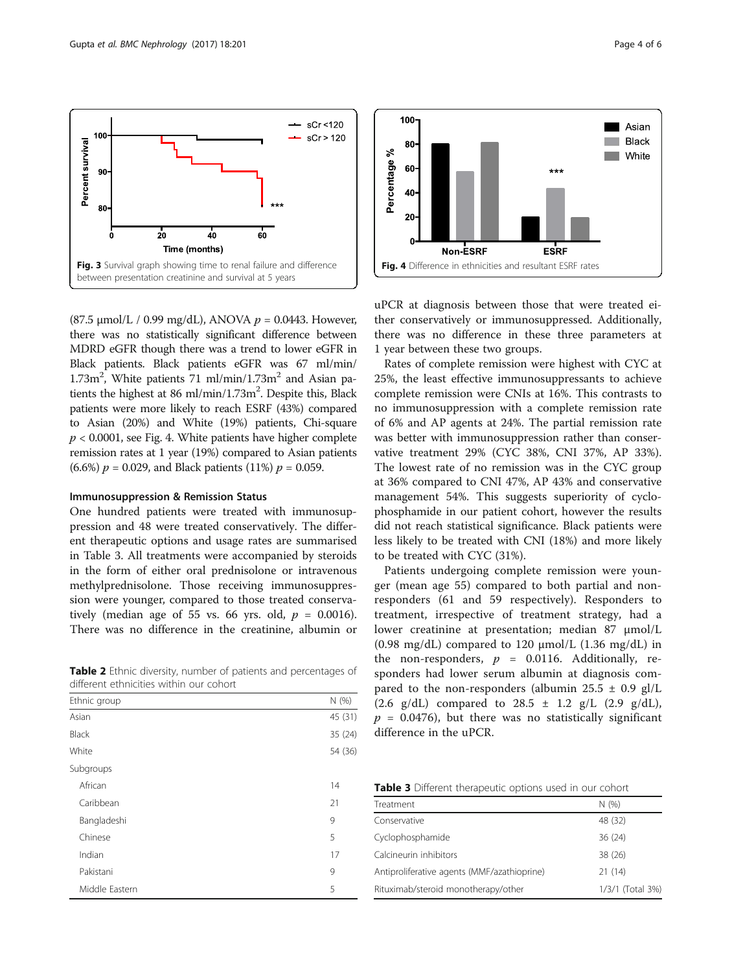<span id="page-3-0"></span>

(87.5 μmol/L / 0.99 mg/dL), ANOVA  $p = 0.0443$ . However, there was no statistically significant difference between MDRD eGFR though there was a trend to lower eGFR in Black patients. Black patients eGFR was 67 ml/min/  $1.73m^2$ , White patients 71 ml/min/ $1.73m^2$  and Asian patients the highest at 86 ml/min/1.73m<sup>2</sup>. Despite this, Black patients were more likely to reach ESRF (43%) compared to Asian (20%) and White (19%) patients, Chi-square  $p < 0.0001$ , see Fig. 4. White patients have higher complete remission rates at 1 year (19%) compared to Asian patients (6.6%)  $p = 0.029$ , and Black patients (11%)  $p = 0.059$ .

#### Immunosuppression & Remission Status

One hundred patients were treated with immunosuppression and 48 were treated conservatively. The different therapeutic options and usage rates are summarised in Table 3. All treatments were accompanied by steroids in the form of either oral prednisolone or intravenous methylprednisolone. Those receiving immunosuppression were younger, compared to those treated conservatively (median age of 55 vs. 66 yrs. old,  $p = 0.0016$ ). There was no difference in the creatinine, albumin or

Table 2 Ethnic diversity, number of patients and percentages of different ethnicities within our cohort

| Ethnic group   | N (%)   |
|----------------|---------|
| Asian          | 45 (31) |
| <b>Black</b>   | 35 (24) |
| White          | 54 (36) |
| Subgroups      |         |
| African        | 14      |
| Caribbean      | 21      |
| Bangladeshi    | 9       |
| Chinese        | 5       |
| Indian         | 17      |
| Pakistani      | 9       |
| Middle Eastern | 5       |





Percentage %

uPCR at diagnosis between those that were treated either conservatively or immunosuppressed. Additionally, there was no difference in these three parameters at 1 year between these two groups.

Rates of complete remission were highest with CYC at 25%, the least effective immunosuppressants to achieve complete remission were CNIs at 16%. This contrasts to no immunosuppression with a complete remission rate of 6% and AP agents at 24%. The partial remission rate was better with immunosuppression rather than conservative treatment 29% (CYC 38%, CNI 37%, AP 33%). The lowest rate of no remission was in the CYC group at 36% compared to CNI 47%, AP 43% and conservative management 54%. This suggests superiority of cyclophosphamide in our patient cohort, however the results did not reach statistical significance. Black patients were less likely to be treated with CNI (18%) and more likely to be treated with CYC (31%).

Patients undergoing complete remission were younger (mean age 55) compared to both partial and nonresponders (61 and 59 respectively). Responders to treatment, irrespective of treatment strategy, had a lower creatinine at presentation; median 87 μmol/L (0.98 mg/dL) compared to 120  $\mu$ mol/L (1.36 mg/dL) in the non-responders,  $p = 0.0116$ . Additionally, responders had lower serum albumin at diagnosis compared to the non-responders (albumin 25.5  $\pm$  0.9 gl/L (2.6 g/dL) compared to  $28.5 \pm 1.2$  g/L (2.9 g/dL),  $p = 0.0476$ , but there was no statistically significant difference in the uPCR.

Table 3 Different therapeutic options used in our cohort

| Treatment                                   | N(96)            |
|---------------------------------------------|------------------|
| Conservative                                | 48 (32)          |
| Cyclophosphamide                            | 36(24)           |
| Calcineurin inhibitors                      | 38 (26)          |
| Antiproliferative agents (MMF/azathioprine) | 21(14)           |
| Rituximab/steroid monotherapy/other         | 1/3/1 (Total 3%) |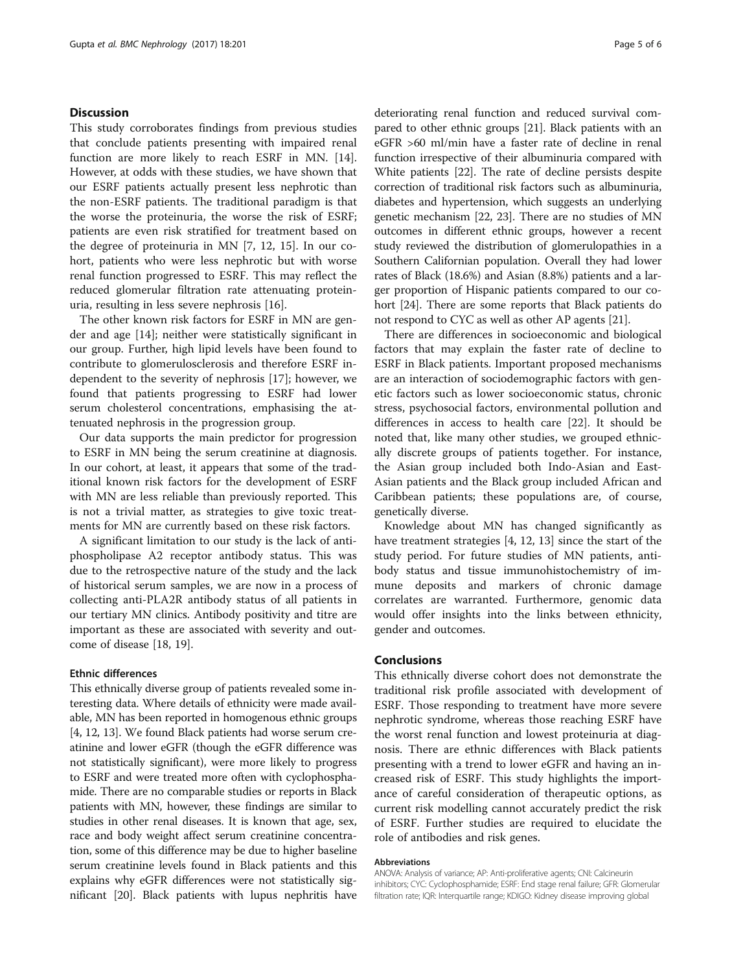#### **Discussion**

This study corroborates findings from previous studies that conclude patients presenting with impaired renal function are more likely to reach ESRF in MN. [\[14](#page-5-0)]. However, at odds with these studies, we have shown that our ESRF patients actually present less nephrotic than the non-ESRF patients. The traditional paradigm is that the worse the proteinuria, the worse the risk of ESRF; patients are even risk stratified for treatment based on the degree of proteinuria in MN [[7, 12, 15\]](#page-5-0). In our cohort, patients who were less nephrotic but with worse renal function progressed to ESRF. This may reflect the reduced glomerular filtration rate attenuating proteinuria, resulting in less severe nephrosis [\[16](#page-5-0)].

The other known risk factors for ESRF in MN are gender and age [\[14\]](#page-5-0); neither were statistically significant in our group. Further, high lipid levels have been found to contribute to glomerulosclerosis and therefore ESRF independent to the severity of nephrosis [[17\]](#page-5-0); however, we found that patients progressing to ESRF had lower serum cholesterol concentrations, emphasising the attenuated nephrosis in the progression group.

Our data supports the main predictor for progression to ESRF in MN being the serum creatinine at diagnosis. In our cohort, at least, it appears that some of the traditional known risk factors for the development of ESRF with MN are less reliable than previously reported. This is not a trivial matter, as strategies to give toxic treatments for MN are currently based on these risk factors.

A significant limitation to our study is the lack of antiphospholipase A2 receptor antibody status. This was due to the retrospective nature of the study and the lack of historical serum samples, we are now in a process of collecting anti-PLA2R antibody status of all patients in our tertiary MN clinics. Antibody positivity and titre are important as these are associated with severity and outcome of disease [\[18](#page-5-0), [19](#page-5-0)].

#### Ethnic differences

This ethnically diverse group of patients revealed some interesting data. Where details of ethnicity were made available, MN has been reported in homogenous ethnic groups [[4, 12](#page-5-0), [13\]](#page-5-0). We found Black patients had worse serum creatinine and lower eGFR (though the eGFR difference was not statistically significant), were more likely to progress to ESRF and were treated more often with cyclophosphamide. There are no comparable studies or reports in Black patients with MN, however, these findings are similar to studies in other renal diseases. It is known that age, sex, race and body weight affect serum creatinine concentration, some of this difference may be due to higher baseline serum creatinine levels found in Black patients and this explains why eGFR differences were not statistically significant [[20](#page-5-0)]. Black patients with lupus nephritis have deteriorating renal function and reduced survival compared to other ethnic groups [\[21\]](#page-5-0). Black patients with an eGFR >60 ml/min have a faster rate of decline in renal function irrespective of their albuminuria compared with White patients [[22](#page-5-0)]. The rate of decline persists despite correction of traditional risk factors such as albuminuria, diabetes and hypertension, which suggests an underlying genetic mechanism [\[22, 23\]](#page-5-0). There are no studies of MN outcomes in different ethnic groups, however a recent study reviewed the distribution of glomerulopathies in a Southern Californian population. Overall they had lower rates of Black (18.6%) and Asian (8.8%) patients and a larger proportion of Hispanic patients compared to our cohort [[24](#page-5-0)]. There are some reports that Black patients do not respond to CYC as well as other AP agents [\[21\]](#page-5-0).

There are differences in socioeconomic and biological factors that may explain the faster rate of decline to ESRF in Black patients. Important proposed mechanisms are an interaction of sociodemographic factors with genetic factors such as lower socioeconomic status, chronic stress, psychosocial factors, environmental pollution and differences in access to health care [\[22\]](#page-5-0). It should be noted that, like many other studies, we grouped ethnically discrete groups of patients together. For instance, the Asian group included both Indo-Asian and East-Asian patients and the Black group included African and Caribbean patients; these populations are, of course, genetically diverse.

Knowledge about MN has changed significantly as have treatment strategies [\[4](#page-5-0), [12](#page-5-0), [13](#page-5-0)] since the start of the study period. For future studies of MN patients, antibody status and tissue immunohistochemistry of immune deposits and markers of chronic damage correlates are warranted. Furthermore, genomic data would offer insights into the links between ethnicity, gender and outcomes.

#### Conclusions

This ethnically diverse cohort does not demonstrate the traditional risk profile associated with development of ESRF. Those responding to treatment have more severe nephrotic syndrome, whereas those reaching ESRF have the worst renal function and lowest proteinuria at diagnosis. There are ethnic differences with Black patients presenting with a trend to lower eGFR and having an increased risk of ESRF. This study highlights the importance of careful consideration of therapeutic options, as current risk modelling cannot accurately predict the risk of ESRF. Further studies are required to elucidate the role of antibodies and risk genes.

#### Abbreviations

ANOVA: Analysis of variance; AP: Anti-proliferative agents; CNI: Calcineurin inhibitors; CYC: Cyclophosphamide; ESRF: End stage renal failure; GFR: Glomerular filtration rate; IQR: Interquartile range; KDIGO: Kidney disease improving global